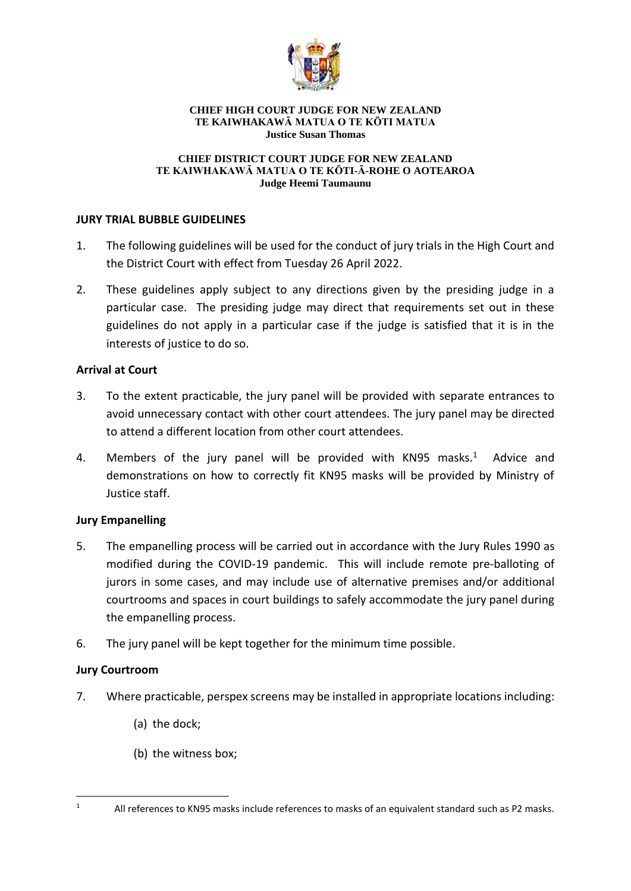

#### **CHIEF HIGH COURT JUDGE FOR NEW ZEALAND TE KAIWHAKAWĀ MATUA O TE KŌTI MATUA Justice Susan Thomas**

#### **CHIEF DISTRICT COURT JUDGE FOR NEW ZEALAND TE KAIWHAKAWĀ MATUA O TE KŌTI-Ā-ROHE O AOTEAROA Judge Heemi Taumaunu**

## **JURY TRIAL BUBBLE GUIDELINES**

- 1. The following guidelines will be used for the conduct of jury trials in the High Court and the District Court with effect from Tuesday 26 April 2022.
- 2. These guidelines apply subject to any directions given by the presiding judge in a particular case. The presiding judge may direct that requirements set out in these guidelines do not apply in a particular case if the judge is satisfied that it is in the interests of justice to do so.

#### **Arrival at Court**

- 3. To the extent practicable, the jury panel will be provided with separate entrances to avoid unnecessary contact with other court attendees. The jury panel may be directed to attend a different location from other court attendees.
- 4. Members of the jury panel will be provided with KN95 masks.<sup>1</sup> Advice and demonstrations on how to correctly fit KN95 masks will be provided by Ministry of Justice staff.

# **Jury Empanelling**

- 5. The empanelling process will be carried out in accordance with the Jury Rules 1990 as modified during the COVID-19 pandemic. This will include remote pre-balloting of jurors in some cases, and may include use of alternative premises and/or additional courtrooms and spaces in court buildings to safely accommodate the jury panel during the empanelling process.
- 6. The jury panel will be kept together for the minimum time possible.

# **Jury Courtroom**

- 7. Where practicable, perspex screens may be installed in appropriate locations including:
	- (a) the dock;
	- (b) the witness box;

<sup>1</sup> All references to KN95 masks include references to masks of an equivalent standard such as P2 masks.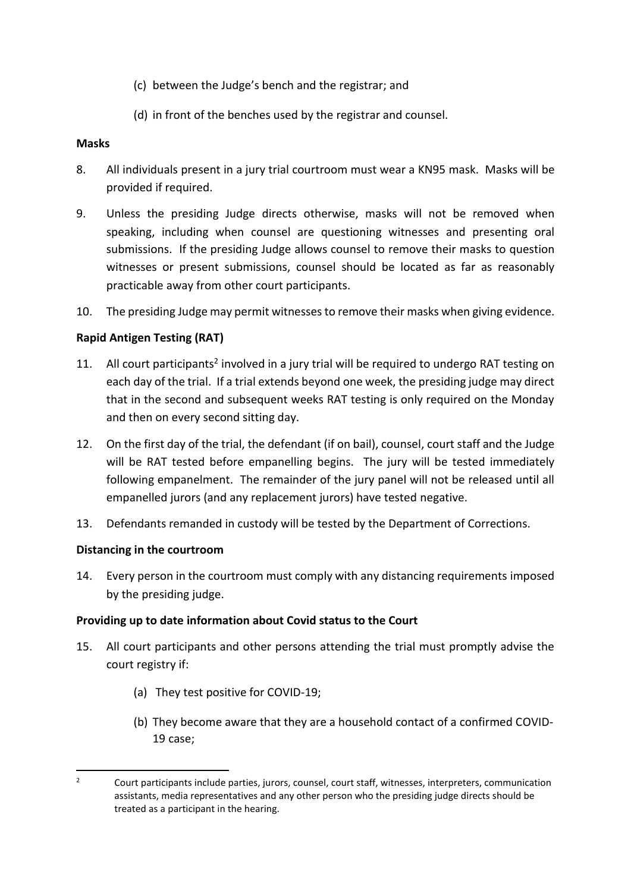- (c) between the Judge's bench and the registrar; and
- (d) in front of the benches used by the registrar and counsel.

### **Masks**

- 8. All individuals present in a jury trial courtroom must wear a KN95 mask. Masks will be provided if required.
- 9. Unless the presiding Judge directs otherwise, masks will not be removed when speaking, including when counsel are questioning witnesses and presenting oral submissions. If the presiding Judge allows counsel to remove their masks to question witnesses or present submissions, counsel should be located as far as reasonably practicable away from other court participants.
- 10. The presiding Judge may permit witnesses to remove their masks when giving evidence.

# **Rapid Antigen Testing (RAT)**

- 11. All court participants<sup>2</sup> involved in a jury trial will be required to undergo RAT testing on each day of the trial. If a trial extends beyond one week, the presiding judge may direct that in the second and subsequent weeks RAT testing is only required on the Monday and then on every second sitting day.
- 12. On the first day of the trial, the defendant (if on bail), counsel, court staff and the Judge will be RAT tested before empanelling begins. The jury will be tested immediately following empanelment. The remainder of the jury panel will not be released until all empanelled jurors (and any replacement jurors) have tested negative.
- 13. Defendants remanded in custody will be tested by the Department of Corrections.

# **Distancing in the courtroom**

14. Every person in the courtroom must comply with any distancing requirements imposed by the presiding judge.

# **Providing up to date information about Covid status to the Court**

- 15. All court participants and other persons attending the trial must promptly advise the court registry if:
	- (a) They test positive for COVID-19;
	- (b) They become aware that they are a household contact of a confirmed COVID-19 case;

<sup>&</sup>lt;sup>2</sup> Court participants include parties, jurors, counsel, court staff, witnesses, interpreters, communication assistants, media representatives and any other person who the presiding judge directs should be treated as a participant in the hearing.